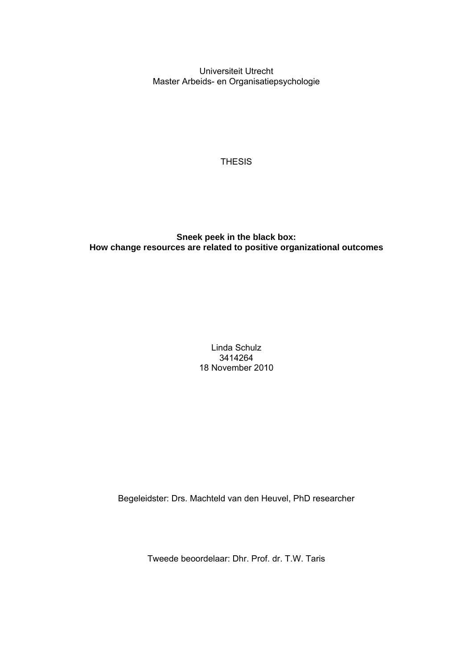Universiteit Utrecht Master Arbeids- en Organisatiepsychologie

**THESIS** 

# **Sneek peek in the black box: How change resources are related to positive organizational outcomes**

Linda Schulz 3414264 18 November 2010

Begeleidster: Drs. Machteld van den Heuvel, PhD researcher

Tweede beoordelaar: Dhr. Prof. dr. T.W. Taris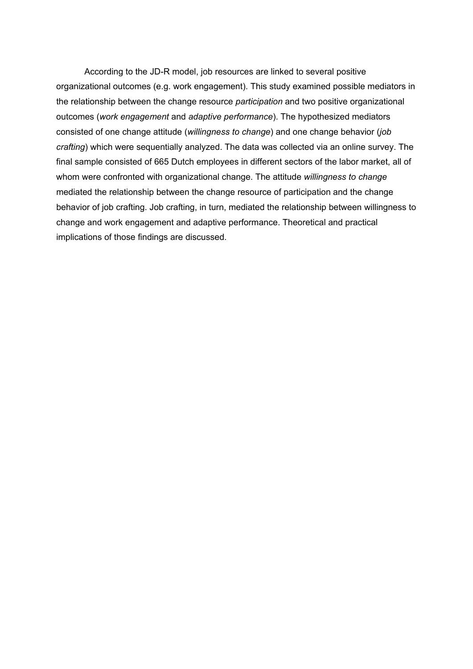According to the JD-R model, job resources are linked to several positive organizational outcomes (e.g. work engagement). This study examined possible mediators in the relationship between the change resource *participation* and two positive organizational outcomes (*work engagement* and *adaptive performance*). The hypothesized mediators consisted of one change attitude (*willingness to change*) and one change behavior (*job crafting*) which were sequentially analyzed. The data was collected via an online survey. The final sample consisted of 665 Dutch employees in different sectors of the labor market, all of whom were confronted with organizational change. The attitude *willingness to change* mediated the relationship between the change resource of participation and the change behavior of job crafting. Job crafting, in turn, mediated the relationship between willingness to change and work engagement and adaptive performance. Theoretical and practical implications of those findings are discussed.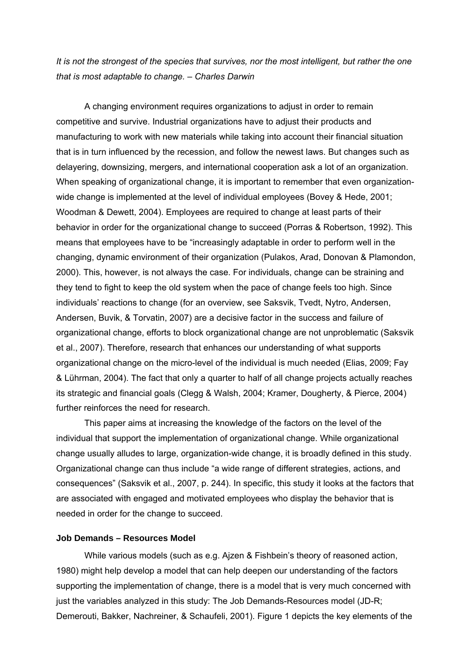*It is not the strongest of the species that survives, nor the most intelligent, but rather the one that is most adaptable to change. – Charles Darwin* 

A changing environment requires organizations to adjust in order to remain competitive and survive. Industrial organizations have to adjust their products and manufacturing to work with new materials while taking into account their financial situation that is in turn influenced by the recession, and follow the newest laws. But changes such as delayering, downsizing, mergers, and international cooperation ask a lot of an organization. When speaking of organizational change, it is important to remember that even organizationwide change is implemented at the level of individual employees (Bovey & Hede, 2001; Woodman & Dewett, 2004). Employees are required to change at least parts of their behavior in order for the organizational change to succeed (Porras & Robertson, 1992). This means that employees have to be "increasingly adaptable in order to perform well in the changing, dynamic environment of their organization (Pulakos, Arad, Donovan & Plamondon, 2000). This, however, is not always the case. For individuals, change can be straining and they tend to fight to keep the old system when the pace of change feels too high. Since individuals' reactions to change (for an overview, see Saksvik, Tvedt, Nytro, Andersen, Andersen, Buvik, & Torvatin, 2007) are a decisive factor in the success and failure of organizational change, efforts to block organizational change are not unproblematic (Saksvik et al., 2007). Therefore, research that enhances our understanding of what supports organizational change on the micro-level of the individual is much needed (Elias, 2009; Fay & Lührman, 2004). The fact that only a quarter to half of all change projects actually reaches its strategic and financial goals (Clegg & Walsh, 2004; Kramer, Dougherty, & Pierce, 2004) further reinforces the need for research.

This paper aims at increasing the knowledge of the factors on the level of the individual that support the implementation of organizational change. While organizational change usually alludes to large, organization-wide change, it is broadly defined in this study. Organizational change can thus include "a wide range of different strategies, actions, and consequences" (Saksvik et al., 2007, p. 244). In specific, this study it looks at the factors that are associated with engaged and motivated employees who display the behavior that is needed in order for the change to succeed.

## **Job Demands – Resources Model**

While various models (such as e.g. Ajzen & Fishbein's theory of reasoned action, 1980) might help develop a model that can help deepen our understanding of the factors supporting the implementation of change, there is a model that is very much concerned with just the variables analyzed in this study: The Job Demands-Resources model (JD-R; Demerouti, Bakker, Nachreiner, & Schaufeli, 2001). Figure 1 depicts the key elements of the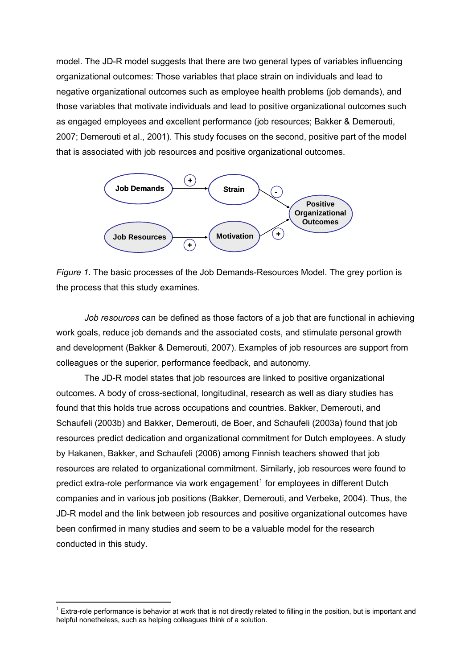model. The JD-R model suggests that there are two general types of variables influencing organizational outcomes: Those variables that place strain on individuals and lead to negative organizational outcomes such as employee health problems (job demands), and those variables that motivate individuals and lead to positive organizational outcomes such as engaged employees and excellent performance (job resources; Bakker & Demerouti, 2007; Demerouti et al., 2001). This study focuses on the second, positive part of the model that is associated with job resources and positive organizational outcomes.



*Figure 1*. The basic processes of the Job Demands-Resources Model. The grey portion is the process that this study examines.

*Job resources* can be defined as those factors of a job that are functional in achieving work goals, reduce job demands and the associated costs, and stimulate personal growth and development (Bakker & Demerouti, 2007). Examples of job resources are support from colleagues or the superior, performance feedback, and autonomy.

The JD-R model states that job resources are linked to positive organizational outcomes. A body of cross-sectional, longitudinal, research as well as diary studies has found that this holds true across occupations and countries. Bakker, Demerouti, and Schaufeli (2003b) and Bakker, Demerouti, de Boer, and Schaufeli (2003a) found that job resources predict dedication and organizational commitment for Dutch employees. A study by Hakanen, Bakker, and Schaufeli (2006) among Finnish teachers showed that job resources are related to organizational commitment. Similarly, job resources were found to predict extra-role performance via work engagement<sup>[1](#page-3-0)</sup> for employees in different Dutch companies and in various job positions (Bakker, Demerouti, and Verbeke, 2004). Thus, the JD-R model and the link between job resources and positive organizational outcomes have been confirmed in many studies and seem to be a valuable model for the research conducted in this study.

<u>.</u>

<span id="page-3-0"></span> $1$  Extra-role performance is behavior at work that is not directly related to filling in the position, but is important and helpful nonetheless, such as helping colleagues think of a solution.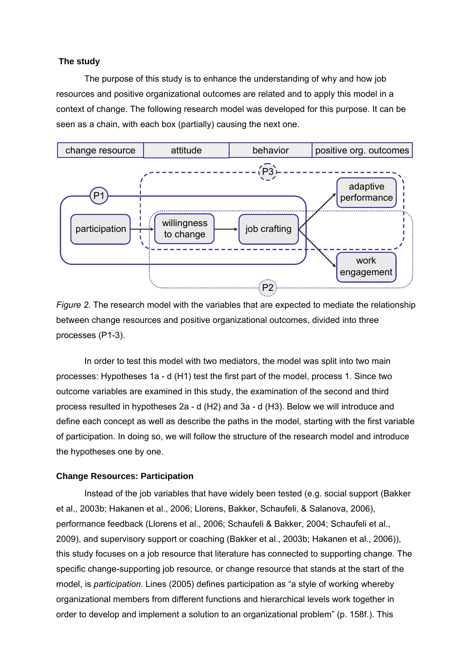## **The study**

The purpose of this study is to enhance the understanding of why and how job resources and positive organizational outcomes are related and to apply this model in a context of change. The following research model was developed for this purpose. It can be seen as a chain, with each box (partially) causing the next one.



*Figure 2.* The research model with the variables that are expected to mediate the relationship between change resources and positive organizational outcomes, divided into three processes (P1-3).

In order to test this model with two mediators, the model was split into two main processes: Hypotheses 1a - d (H1) test the first part of the model, process 1. Since two outcome variables are examined in this study, the examination of the second and third process resulted in hypotheses 2a - d (H2) and 3a - d (H3). Below we will introduce and define each concept as well as describe the paths in the model, starting with the first variable of participation. In doing so, we will follow the structure of the research model and introduce the hypotheses one by one.

## **Change Resources: Participation**

Instead of the job variables that have widely been tested (e.g. social support (Bakker et al., 2003b; Hakanen et al., 2006; Llorens, Bakker, Schaufeli, & Salanova, 2006), performance feedback (Llorens et al., 2006; Schaufeli & Bakker, 2004; Schaufeli et al., 2009), and supervisory support or coaching (Bakker et al., 2003b; Hakanen et al., 2006)), this study focuses on a job resource that literature has connected to supporting change. The specific change-supporting job resource, or change resource that stands at the start of the model, is *participation.* Lines (2005) defines participation as "a style of working whereby organizational members from different functions and hierarchical levels work together in order to develop and implement a solution to an organizational problem" (p. 158f.). This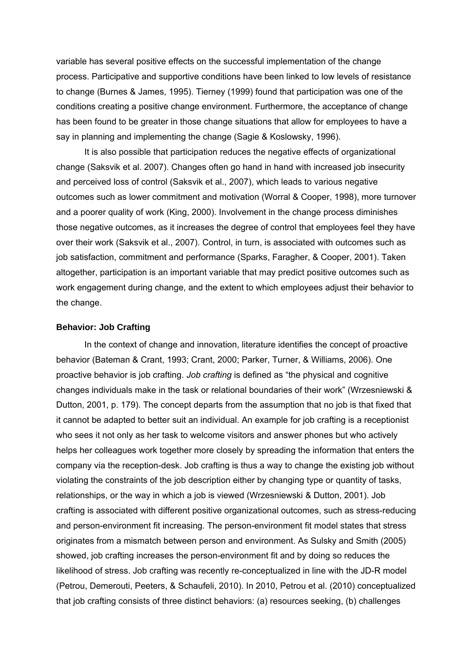variable has several positive effects on the successful implementation of the change process. Participative and supportive conditions have been linked to low levels of resistance to change (Burnes & James, 1995). Tierney (1999) found that participation was one of the conditions creating a positive change environment. Furthermore, the acceptance of change has been found to be greater in those change situations that allow for employees to have a say in planning and implementing the change (Sagie & Koslowsky, 1996).

It is also possible that participation reduces the negative effects of organizational change (Saksvik et al. 2007). Changes often go hand in hand with increased job insecurity and perceived loss of control (Saksvik et al., 2007), which leads to various negative outcomes such as lower commitment and motivation (Worral & Cooper, 1998), more turnover and a poorer quality of work (King, 2000). Involvement in the change process diminishes those negative outcomes, as it increases the degree of control that employees feel they have over their work (Saksvik et al., 2007). Control, in turn, is associated with outcomes such as job satisfaction, commitment and performance (Sparks, Faragher, & Cooper, 2001). Taken altogether, participation is an important variable that may predict positive outcomes such as work engagement during change, and the extent to which employees adjust their behavior to the change.

#### **Behavior: Job Crafting**

In the context of change and innovation, literature identifies the concept of proactive behavior (Bateman & Crant, 1993; Crant, 2000; Parker, Turner, & Williams, 2006). One proactive behavior is job crafting. *Job crafting* is defined as "the physical and cognitive changes individuals make in the task or relational boundaries of their work" (Wrzesniewski & Dutton, 2001, p. 179). The concept departs from the assumption that no job is that fixed that it cannot be adapted to better suit an individual. An example for job crafting is a receptionist who sees it not only as her task to welcome visitors and answer phones but who actively helps her colleagues work together more closely by spreading the information that enters the company via the reception-desk. Job crafting is thus a way to change the existing job without violating the constraints of the job description either by changing type or quantity of tasks, relationships, or the way in which a job is viewed (Wrzesniewski & Dutton, 2001). Job crafting is associated with different positive organizational outcomes, such as stress-reducing and person-environment fit increasing. The person-environment fit model states that stress originates from a mismatch between person and environment. As Sulsky and Smith (2005) showed, job crafting increases the person-environment fit and by doing so reduces the likelihood of stress. Job crafting was recently re-conceptualized in line with the JD-R model (Petrou, Demerouti, Peeters, & Schaufeli, 2010). In 2010, Petrou et al. (2010) conceptualized that job crafting consists of three distinct behaviors: (a) resources seeking, (b) challenges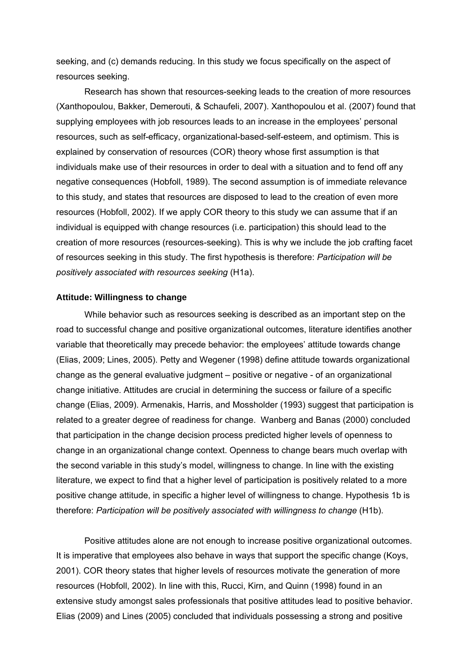seeking, and (c) demands reducing. In this study we focus specifically on the aspect of resources seeking.

Research has shown that resources-seeking leads to the creation of more resources (Xanthopoulou, Bakker, Demerouti, & Schaufeli, 2007). Xanthopoulou et al. (2007) found that supplying employees with job resources leads to an increase in the employees' personal resources, such as self-efficacy, organizational-based-self-esteem, and optimism. This is explained by conservation of resources (COR) theory whose first assumption is that individuals make use of their resources in order to deal with a situation and to fend off any negative consequences (Hobfoll, 1989). The second assumption is of immediate relevance to this study, and states that resources are disposed to lead to the creation of even more resources (Hobfoll, 2002). If we apply COR theory to this study we can assume that if an individual is equipped with change resources (i.e. participation) this should lead to the creation of more resources (resources-seeking). This is why we include the job crafting facet of resources seeking in this study. The first hypothesis is therefore: *Participation will be positively associated with resources seeking* (H1a).

#### **Attitude: Willingness to change**

While behavior such as resources seeking is described as an important step on the road to successful change and positive organizational outcomes, literature identifies another variable that theoretically may precede behavior: the employees' attitude towards change (Elias, 2009; Lines, 2005). Petty and Wegener (1998) define attitude towards organizational change as the general evaluative judgment – positive or negative - of an organizational change initiative. Attitudes are crucial in determining the success or failure of a specific change (Elias, 2009). Armenakis, Harris, and Mossholder (1993) suggest that participation is related to a greater degree of readiness for change. Wanberg and Banas (2000) concluded that participation in the change decision process predicted higher levels of openness to change in an organizational change context. Openness to change bears much overlap with the second variable in this study's model, willingness to change. In line with the existing literature, we expect to find that a higher level of participation is positively related to a more positive change attitude, in specific a higher level of willingness to change. Hypothesis 1b is therefore: *Participation will be positively associated with willingness to change* (H1b).

Positive attitudes alone are not enough to increase positive organizational outcomes. It is imperative that employees also behave in ways that support the specific change (Koys, 2001). COR theory states that higher levels of resources motivate the generation of more resources (Hobfoll, 2002). In line with this, Rucci, Kirn, and Quinn (1998) found in an extensive study amongst sales professionals that positive attitudes lead to positive behavior. Elias (2009) and Lines (2005) concluded that individuals possessing a strong and positive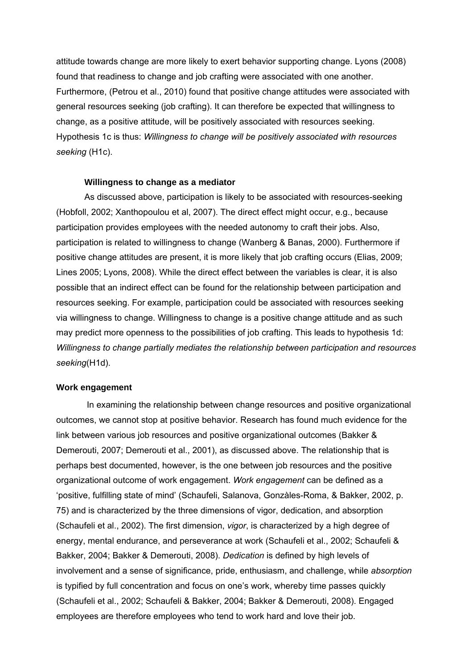attitude towards change are more likely to exert behavior supporting change. Lyons (2008) found that readiness to change and job crafting were associated with one another. Furthermore, (Petrou et al., 2010) found that positive change attitudes were associated with general resources seeking (job crafting). It can therefore be expected that willingness to change, as a positive attitude, will be positively associated with resources seeking. Hypothesis 1c is thus: *Willingness to change will be positively associated with resources seeking* (H1c).

#### **Willingness to change as a mediator**

As discussed above, participation is likely to be associated with resources-seeking (Hobfoll, 2002; Xanthopoulou et al, 2007). The direct effect might occur, e.g., because participation provides employees with the needed autonomy to craft their jobs. Also, participation is related to willingness to change (Wanberg & Banas, 2000). Furthermore if positive change attitudes are present, it is more likely that job crafting occurs (Elias, 2009; Lines 2005; Lyons, 2008). While the direct effect between the variables is clear, it is also possible that an indirect effect can be found for the relationship between participation and resources seeking. For example, participation could be associated with resources seeking via willingness to change. Willingness to change is a positive change attitude and as such may predict more openness to the possibilities of job crafting. This leads to hypothesis 1d: *Willingness to change partially mediates the relationship between participation and resources seeking*(H1d).

## **Work engagement**

In examining the relationship between change resources and positive organizational outcomes, we cannot stop at positive behavior. Research has found much evidence for the link between various job resources and positive organizational outcomes (Bakker & Demerouti, 2007; Demerouti et al., 2001), as discussed above. The relationship that is perhaps best documented, however, is the one between job resources and the positive organizational outcome of work engagement. *Work engagement* can be defined as a 'positive, fulfilling state of mind' (Schaufeli, Salanova, Gonzàles-Roma, & Bakker, 2002, p. 75) and is characterized by the three dimensions of vigor, dedication, and absorption (Schaufeli et al., 2002). The first dimension, *vigor*, is characterized by a high degree of energy, mental endurance, and perseverance at work (Schaufeli et al., 2002; Schaufeli & Bakker, 2004; Bakker & Demerouti, 2008). *Dedication* is defined by high levels of involvement and a sense of significance, pride, enthusiasm, and challenge, while *absorption* is typified by full concentration and focus on one's work, whereby time passes quickly (Schaufeli et al., 2002; Schaufeli & Bakker, 2004; Bakker & Demerouti, 2008). Engaged employees are therefore employees who tend to work hard and love their job.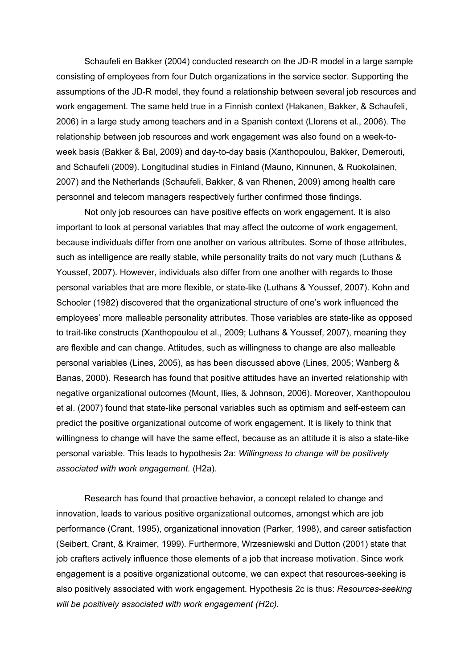Schaufeli en Bakker (2004) conducted research on the JD-R model in a large sample consisting of employees from four Dutch organizations in the service sector. Supporting the assumptions of the JD-R model, they found a relationship between several job resources and work engagement. The same held true in a Finnish context (Hakanen, Bakker, & Schaufeli, 2006) in a large study among teachers and in a Spanish context (Llorens et al., 2006). The relationship between job resources and work engagement was also found on a week-toweek basis (Bakker & Bal, 2009) and day-to-day basis (Xanthopoulou, Bakker, Demerouti, and Schaufeli (2009). Longitudinal studies in Finland (Mauno, Kinnunen, & Ruokolainen, 2007) and the Netherlands (Schaufeli, Bakker, & van Rhenen, 2009) among health care personnel and telecom managers respectively further confirmed those findings.

Not only job resources can have positive effects on work engagement. It is also important to look at personal variables that may affect the outcome of work engagement, because individuals differ from one another on various attributes. Some of those attributes, such as intelligence are really stable, while personality traits do not vary much (Luthans & Youssef, 2007). However, individuals also differ from one another with regards to those personal variables that are more flexible, or state-like (Luthans & Youssef, 2007). Kohn and Schooler (1982) discovered that the organizational structure of one's work influenced the employees' more malleable personality attributes. Those variables are state-like as opposed to trait-like constructs (Xanthopoulou et al., 2009; Luthans & Youssef, 2007), meaning they are flexible and can change. Attitudes, such as willingness to change are also malleable personal variables (Lines, 2005), as has been discussed above (Lines, 2005; Wanberg & Banas, 2000). Research has found that positive attitudes have an inverted relationship with negative organizational outcomes (Mount, Ilies, & Johnson, 2006). Moreover, Xanthopoulou et al. (2007) found that state-like personal variables such as optimism and self-esteem can predict the positive organizational outcome of work engagement. It is likely to think that willingness to change will have the same effect, because as an attitude it is also a state-like personal variable. This leads to hypothesis 2a: *Willingness to change will be positively associated with work engagement.* (H2a).

Research has found that proactive behavior, a concept related to change and innovation, leads to various positive organizational outcomes, amongst which are job performance (Crant, 1995), organizational innovation (Parker, 1998), and career satisfaction (Seibert, Crant, & Kraimer, 1999). Furthermore, Wrzesniewski and Dutton (2001) state that job crafters actively influence those elements of a job that increase motivation. Since work engagement is a positive organizational outcome, we can expect that resources-seeking is also positively associated with work engagement. Hypothesis 2c is thus: *Resources-seeking will be positively associated with work engagement (H2c).*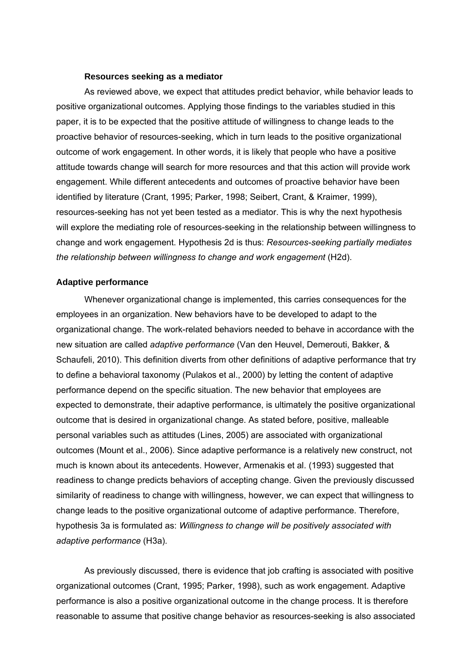#### **Resources seeking as a mediator**

As reviewed above, we expect that attitudes predict behavior, while behavior leads to positive organizational outcomes. Applying those findings to the variables studied in this paper, it is to be expected that the positive attitude of willingness to change leads to the proactive behavior of resources-seeking, which in turn leads to the positive organizational outcome of work engagement. In other words, it is likely that people who have a positive attitude towards change will search for more resources and that this action will provide work engagement. While different antecedents and outcomes of proactive behavior have been identified by literature (Crant, 1995; Parker, 1998; Seibert, Crant, & Kraimer, 1999), resources-seeking has not yet been tested as a mediator. This is why the next hypothesis will explore the mediating role of resources-seeking in the relationship between willingness to change and work engagement. Hypothesis 2d is thus: *Resources-seeking partially mediates the relationship between willingness to change and work engagement* (H2d).

#### **Adaptive performance**

Whenever organizational change is implemented, this carries consequences for the employees in an organization. New behaviors have to be developed to adapt to the organizational change. The work-related behaviors needed to behave in accordance with the new situation are called *adaptive performance* (Van den Heuvel, Demerouti, Bakker, & Schaufeli, 2010). This definition diverts from other definitions of adaptive performance that try to define a behavioral taxonomy (Pulakos et al., 2000) by letting the content of adaptive performance depend on the specific situation. The new behavior that employees are expected to demonstrate, their adaptive performance, is ultimately the positive organizational outcome that is desired in organizational change. As stated before, positive, malleable personal variables such as attitudes (Lines, 2005) are associated with organizational outcomes (Mount et al., 2006). Since adaptive performance is a relatively new construct, not much is known about its antecedents. However, Armenakis et al. (1993) suggested that readiness to change predicts behaviors of accepting change. Given the previously discussed similarity of readiness to change with willingness, however, we can expect that willingness to change leads to the positive organizational outcome of adaptive performance. Therefore, hypothesis 3a is formulated as: *Willingness to change will be positively associated with adaptive performance* (H3a)*.*

As previously discussed, there is evidence that job crafting is associated with positive organizational outcomes (Crant, 1995; Parker, 1998), such as work engagement. Adaptive performance is also a positive organizational outcome in the change process. It is therefore reasonable to assume that positive change behavior as resources-seeking is also associated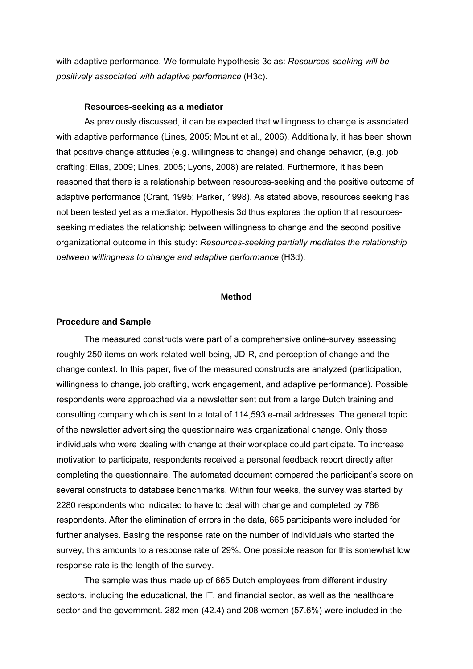with adaptive performance. We formulate hypothesis 3c as: *Resources-seeking will be positively associated with adaptive performance* (H3c).

#### **Resources-seeking as a mediator**

As previously discussed, it can be expected that willingness to change is associated with adaptive performance (Lines, 2005; Mount et al., 2006). Additionally, it has been shown that positive change attitudes (e.g. willingness to change) and change behavior, (e.g. job crafting; Elias, 2009; Lines, 2005; Lyons, 2008) are related. Furthermore, it has been reasoned that there is a relationship between resources-seeking and the positive outcome of adaptive performance (Crant, 1995; Parker, 1998). As stated above, resources seeking has not been tested yet as a mediator. Hypothesis 3d thus explores the option that resourcesseeking mediates the relationship between willingness to change and the second positive organizational outcome in this study: *Resources-seeking partially mediates the relationship between willingness to change and adaptive performance* (H3d).

#### **Method**

#### **Procedure and Sample**

The measured constructs were part of a comprehensive online-survey assessing roughly 250 items on work-related well-being, JD-R, and perception of change and the change context. In this paper, five of the measured constructs are analyzed (participation, willingness to change, job crafting, work engagement, and adaptive performance). Possible respondents were approached via a newsletter sent out from a large Dutch training and consulting company which is sent to a total of 114,593 e-mail addresses. The general topic of the newsletter advertising the questionnaire was organizational change. Only those individuals who were dealing with change at their workplace could participate. To increase motivation to participate, respondents received a personal feedback report directly after completing the questionnaire. The automated document compared the participant's score on several constructs to database benchmarks. Within four weeks, the survey was started by 2280 respondents who indicated to have to deal with change and completed by 786 respondents. After the elimination of errors in the data, 665 participants were included for further analyses. Basing the response rate on the number of individuals who started the survey, this amounts to a response rate of 29%. One possible reason for this somewhat low response rate is the length of the survey.

The sample was thus made up of 665 Dutch employees from different industry sectors, including the educational, the IT, and financial sector, as well as the healthcare sector and the government. 282 men (42.4) and 208 women (57.6%) were included in the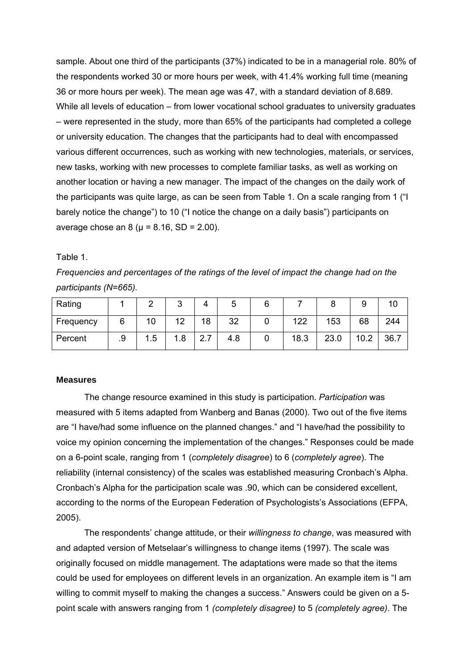sample. About one third of the participants (37%) indicated to be in a managerial role. 80% of the respondents worked 30 or more hours per week, with 41.4% working full time (meaning 36 or more hours per week). The mean age was 47, with a standard deviation of 8.689. While all levels of education – from lower vocational school graduates to university graduates – were represented in the study, more than 65% of the participants had completed a college or university education. The changes that the participants had to deal with encompassed various different occurrences, such as working with new technologies, materials, or services, new tasks, working with new processes to complete familiar tasks, as well as working on another location or having a new manager. The impact of the changes on the daily work of the participants was quite large, as can be seen from Table 1. On a scale ranging from 1 ("I barely notice the change") to 10 ("I notice the change on a daily basis") participants on average chose an 8 ( $\mu$  = 8.16, SD = 2.00).

Table 1.

*Frequencies and percentages of the ratings of the level of impact the change had on the participants (N=665).* 

| Rating    |    |     | ົ<br>ື |                      | ັ   |      |      |      |      |
|-----------|----|-----|--------|----------------------|-----|------|------|------|------|
| Frequency | O  | 10  | ィつ     | 18                   | 32  | 122  | 153  | 68   | 244  |
| Percent   | .9 | 1.5 | 1.8    | $\sim$ $\sim$<br>، 2 | 4.8 | 18.3 | 23.0 | 10.2 | 36.7 |

# **Measures**

The change resource examined in this study is participation. *Participation* was measured with 5 items adapted from Wanberg and Banas (2000). Two out of the five items are "I have/had some influence on the planned changes." and "I have/had the possibility to voice my opinion concerning the implementation of the changes." Responses could be made on a 6-point scale, ranging from 1 (*completely disagree*) to 6 (*completely agree*). The reliability (internal consistency) of the scales was established measuring Cronbach's Alpha. Cronbach's Alpha for the participation scale was .90, which can be considered excellent, according to the norms of the European Federation of Psychologists's Associations (EFPA, 2005).

The respondents' change attitude, or their *willingness to change*, was measured with and adapted version of Metselaar's willingness to change items (1997). The scale was originally focused on middle management. The adaptations were made so that the items could be used for employees on different levels in an organization. An example item is "I am willing to commit myself to making the changes a success." Answers could be given on a 5 point scale with answers ranging from 1 *(completely disagree)* to 5 *(completely agree)*. The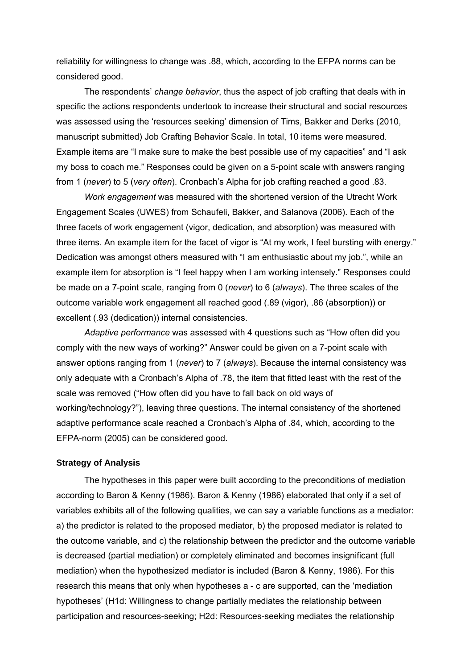reliability for willingness to change was .88, which, according to the EFPA norms can be considered good.

The respondents' *change behavior*, thus the aspect of job crafting that deals with in specific the actions respondents undertook to increase their structural and social resources was assessed using the 'resources seeking' dimension of Tims, Bakker and Derks (2010, manuscript submitted) Job Crafting Behavior Scale. In total, 10 items were measured. Example items are "I make sure to make the best possible use of my capacities" and "I ask my boss to coach me." Responses could be given on a 5-point scale with answers ranging from 1 (*never*) to 5 (*very often*). Cronbach's Alpha for job crafting reached a good .83.

*Work engagement* was measured with the shortened version of the Utrecht Work Engagement Scales (UWES) from Schaufeli, Bakker, and Salanova (2006). Each of the three facets of work engagement (vigor, dedication, and absorption) was measured with three items. An example item for the facet of vigor is "At my work, I feel bursting with energy." Dedication was amongst others measured with "I am enthusiastic about my job.", while an example item for absorption is "I feel happy when I am working intensely." Responses could be made on a 7-point scale, ranging from 0 (*never*) to 6 (*always*). The three scales of the outcome variable work engagement all reached good (.89 (vigor), .86 (absorption)) or excellent (.93 (dedication)) internal consistencies.

*Adaptive performance* was assessed with 4 questions such as "How often did you comply with the new ways of working?" Answer could be given on a 7-point scale with answer options ranging from 1 (*never*) to 7 (*always*). Because the internal consistency was only adequate with a Cronbach's Alpha of .78, the item that fitted least with the rest of the scale was removed ("How often did you have to fall back on old ways of working/technology?"), leaving three questions. The internal consistency of the shortened adaptive performance scale reached a Cronbach's Alpha of .84, which, according to the EFPA-norm (2005) can be considered good.

## **Strategy of Analysis**

The hypotheses in this paper were built according to the preconditions of mediation according to Baron & Kenny (1986). Baron & Kenny (1986) elaborated that only if a set of variables exhibits all of the following qualities, we can say a variable functions as a mediator: a) the predictor is related to the proposed mediator, b) the proposed mediator is related to the outcome variable, and c) the relationship between the predictor and the outcome variable is decreased (partial mediation) or completely eliminated and becomes insignificant (full mediation) when the hypothesized mediator is included (Baron & Kenny, 1986). For this research this means that only when hypotheses a - c are supported, can the 'mediation hypotheses' (H1d: Willingness to change partially mediates the relationship between participation and resources-seeking; H2d: Resources-seeking mediates the relationship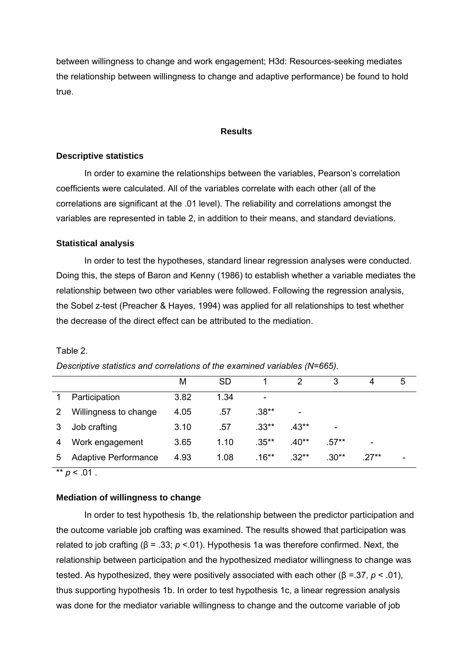between willingness to change and work engagement; H3d: Resources-seeking mediates the relationship between willingness to change and adaptive performance) be found to hold true.

#### **Results**

## **Descriptive statistics**

In order to examine the relationships between the variables, Pearson's correlation coefficients were calculated. All of the variables correlate with each other (all of the correlations are significant at the .01 level). The reliability and correlations amongst the variables are represented in table 2, in addition to their means, and standard deviations.

## **Statistical analysis**

In order to test the hypotheses, standard linear regression analyses were conducted. Doing this, the steps of Baron and Kenny (1986) to establish whether a variable mediates the relationship between two other variables were followed. Following the regression analysis, the Sobel z-test (Preacher & Hayes, 1994) was applied for all relationships to test whether the decrease of the direct effect can be attributed to the mediation.

|                |                             | M    | SD   |          |         | 3       | 4      | 5 |
|----------------|-----------------------------|------|------|----------|---------|---------|--------|---|
|                | Participation               | 3.82 | 1.34 |          |         |         |        |   |
| $\overline{2}$ | Willingness to change       | 4.05 | .57  | $.38**$  | ۰       |         |        |   |
| 3              | Job crafting                | 3.10 | .57  | $.33**$  | .43**   | ۰       |        |   |
| 4              | Work engagement             | 3.65 | 1.10 | $.35***$ | .40**   | $.57**$ | -      |   |
| 5              | <b>Adaptive Performance</b> | 4.93 | 1.08 | $.16***$ | $.32**$ | $.30**$ | $27**$ |   |

# Table 2.

*Descriptive statistics and correlations of the examined variables (N=665).* 

 $*$  *p* < .01 .

## **Mediation of willingness to change**

In order to test hypothesis 1b, the relationship between the predictor participation and the outcome variable job crafting was examined. The results showed that participation was related to job crafting (β = .33; *p* <.01). Hypothesis 1a was therefore confirmed. Next, the relationship between participation and the hypothesized mediator willingness to change was tested. As hypothesized, they were positively associated with each other (β =.37, *p* < .01), thus supporting hypothesis 1b. In order to test hypothesis 1c, a linear regression analysis was done for the mediator variable willingness to change and the outcome variable of job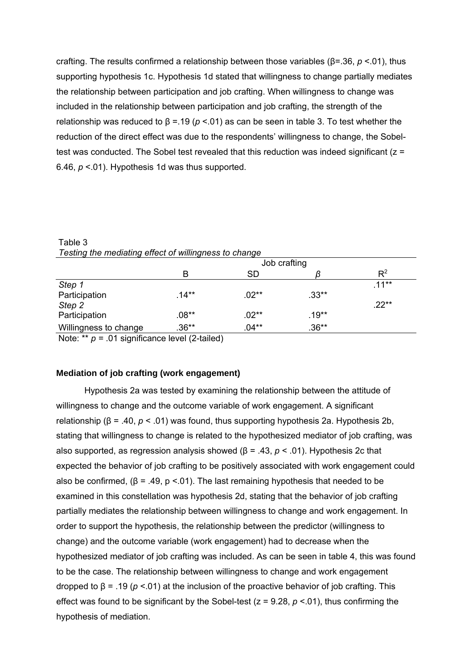crafting. The results confirmed a relationship between those variables (β=.36, *p* <.01), thus supporting hypothesis 1c. Hypothesis 1d stated that willingness to change partially mediates the relationship between participation and job crafting. When willingness to change was included in the relationship between participation and job crafting, the strength of the relationship was reduced to  $β = .19 (p < .01)$  as can be seen in table 3. To test whether the reduction of the direct effect was due to the respondents' willingness to change, the Sobeltest was conducted. The Sobel test revealed that this reduction was indeed significant  $(z =$ 6.46, *p* <.01). Hypothesis 1d was thus supported.

| <b>Testing the mediating enect or willinghess to change</b> |              |           |          |         |  |
|-------------------------------------------------------------|--------------|-----------|----------|---------|--|
|                                                             | Job crafting |           |          |         |  |
|                                                             | B            | <b>SD</b> |          | $R^2$   |  |
| Step 1                                                      |              |           |          | $11**$  |  |
| Participation                                               | $.14***$     | $.02**$   | $.33**$  |         |  |
| Step 2                                                      |              |           |          | $.22**$ |  |
| Participation                                               | $.08**$      | $.02**$   | $.19***$ |         |  |
| Willingness to change                                       | $.36**$      | $.04**$   | $.36**$  |         |  |
| N                                                           |              |           |          |         |  |

Table 3 *Testing the mediating effect of willingness to change* 

Note: \*\* *p =* .01 significance level (2-tailed)

# **Mediation of job crafting (work engagement)**

Hypothesis 2a was tested by examining the relationship between the attitude of willingness to change and the outcome variable of work engagement. A significant relationship (β = .40, *p* < .01) was found, thus supporting hypothesis 2a. Hypothesis 2b, stating that willingness to change is related to the hypothesized mediator of job crafting, was also supported, as regression analysis showed (β = .43, *p* < .01). Hypothesis 2c that expected the behavior of job crafting to be positively associated with work engagement could also be confirmed,  $(\beta = .49, p < .01)$ . The last remaining hypothesis that needed to be examined in this constellation was hypothesis 2d, stating that the behavior of job crafting partially mediates the relationship between willingness to change and work engagement. In order to support the hypothesis, the relationship between the predictor (willingness to change) and the outcome variable (work engagement) had to decrease when the hypothesized mediator of job crafting was included. As can be seen in table 4, this was found to be the case. The relationship between willingness to change and work engagement dropped to β = .19 (*p* <.01) at the inclusion of the proactive behavior of job crafting. This effect was found to be significant by the Sobel-test  $(z = 9.28, p < 0.01)$ , thus confirming the hypothesis of mediation.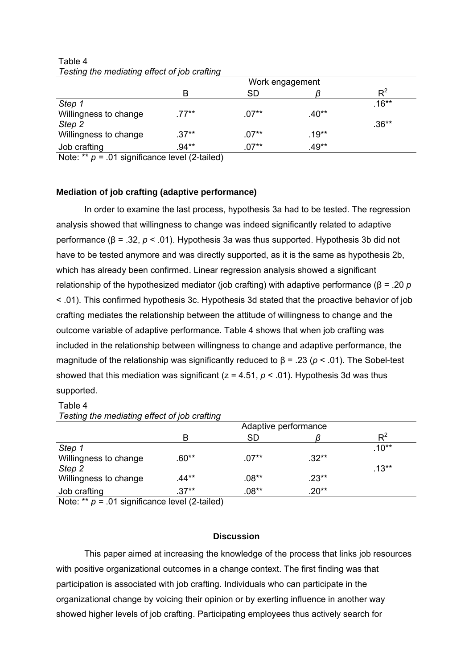|                       | Work engagement |         |          |                |
|-----------------------|-----------------|---------|----------|----------------|
|                       | в               | SD      |          | $\mathsf{P}^2$ |
| Step 1                |                 |         |          | $.16**$        |
| Willingness to change | .77**           | $.07**$ | $.40**$  |                |
| Step 2                |                 |         |          | $.36**$        |
| Willingness to change | $.37**$         | $.07**$ | $.19***$ |                |
| Job crafting          | .94**           | $.07**$ | $.49**$  |                |

Table 4 *Testing the mediating effect of job crafting* 

Note: \*\* *p =* .01 significance level (2-tailed)

## **Mediation of job crafting (adaptive performance)**

In order to examine the last process, hypothesis 3a had to be tested. The regression analysis showed that willingness to change was indeed significantly related to adaptive performance (β = .32, *p* < .01). Hypothesis 3a was thus supported. Hypothesis 3b did not have to be tested anymore and was directly supported, as it is the same as hypothesis 2b, which has already been confirmed. Linear regression analysis showed a significant relationship of the hypothesized mediator (job crafting) with adaptive performance (β = .20 *p*  < .01). This confirmed hypothesis 3c. Hypothesis 3d stated that the proactive behavior of job crafting mediates the relationship between the attitude of willingness to change and the outcome variable of adaptive performance. Table 4 shows that when job crafting was included in the relationship between willingness to change and adaptive performance, the magnitude of the relationship was significantly reduced to β = .23 (*p* < .01). The Sobel-test showed that this mediation was significant ( $z = 4.51$ ,  $p < .01$ ). Hypothesis 3d was thus supported.

# Table 4 *Testing the mediating effect of job crafting*

|                                  | Adaptive performance |         |                |  |  |
|----------------------------------|----------------------|---------|----------------|--|--|
| B                                | <b>SD</b>            |         | $\mathsf{P}^2$ |  |  |
| Step 1                           |                      |         | $.10**$        |  |  |
| $.60**$<br>Willingness to change | $.07**$              | $.32**$ |                |  |  |
| Step 2                           |                      |         | $.13***$       |  |  |
| $.44**$<br>Willingness to change | $.08**$              | .23**   |                |  |  |
| $.37**$<br>Job crafting          | $.08**$              | $.20**$ |                |  |  |

Note: \*\* *p* = .01 significance level (2-tailed)

## **Discussion**

This paper aimed at increasing the knowledge of the process that links job resources with positive organizational outcomes in a change context. The first finding was that participation is associated with job crafting. Individuals who can participate in the organizational change by voicing their opinion or by exerting influence in another way showed higher levels of job crafting. Participating employees thus actively search for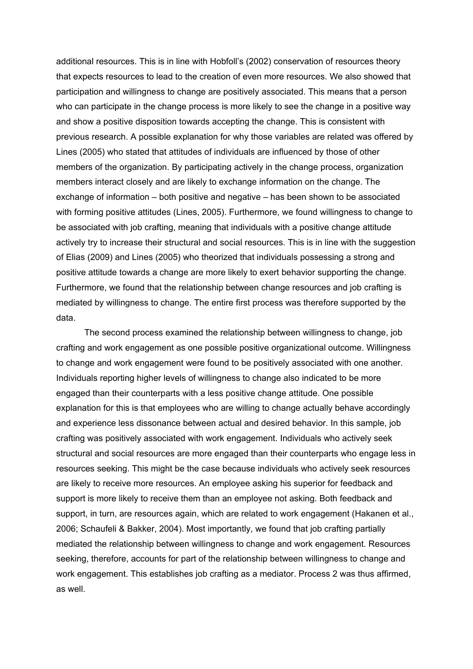additional resources. This is in line with Hobfoll's (2002) conservation of resources theory that expects resources to lead to the creation of even more resources. We also showed that participation and willingness to change are positively associated. This means that a person who can participate in the change process is more likely to see the change in a positive way and show a positive disposition towards accepting the change. This is consistent with previous research. A possible explanation for why those variables are related was offered by Lines (2005) who stated that attitudes of individuals are influenced by those of other members of the organization. By participating actively in the change process, organization members interact closely and are likely to exchange information on the change. The exchange of information – both positive and negative – has been shown to be associated with forming positive attitudes (Lines, 2005). Furthermore, we found willingness to change to be associated with job crafting, meaning that individuals with a positive change attitude actively try to increase their structural and social resources. This is in line with the suggestion of Elias (2009) and Lines (2005) who theorized that individuals possessing a strong and positive attitude towards a change are more likely to exert behavior supporting the change. Furthermore, we found that the relationship between change resources and job crafting is mediated by willingness to change. The entire first process was therefore supported by the data.

The second process examined the relationship between willingness to change, job crafting and work engagement as one possible positive organizational outcome. Willingness to change and work engagement were found to be positively associated with one another. Individuals reporting higher levels of willingness to change also indicated to be more engaged than their counterparts with a less positive change attitude. One possible explanation for this is that employees who are willing to change actually behave accordingly and experience less dissonance between actual and desired behavior. In this sample, job crafting was positively associated with work engagement. Individuals who actively seek structural and social resources are more engaged than their counterparts who engage less in resources seeking. This might be the case because individuals who actively seek resources are likely to receive more resources. An employee asking his superior for feedback and support is more likely to receive them than an employee not asking. Both feedback and support, in turn, are resources again, which are related to work engagement (Hakanen et al., 2006; Schaufeli & Bakker, 2004). Most importantly, we found that job crafting partially mediated the relationship between willingness to change and work engagement. Resources seeking, therefore, accounts for part of the relationship between willingness to change and work engagement. This establishes job crafting as a mediator. Process 2 was thus affirmed, as well.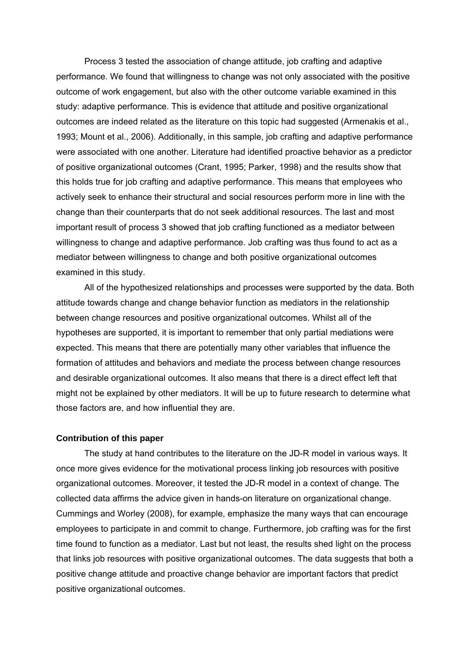Process 3 tested the association of change attitude, job crafting and adaptive performance. We found that willingness to change was not only associated with the positive outcome of work engagement, but also with the other outcome variable examined in this study: adaptive performance. This is evidence that attitude and positive organizational outcomes are indeed related as the literature on this topic had suggested (Armenakis et al., 1993; Mount et al., 2006). Additionally, in this sample, job crafting and adaptive performance were associated with one another. Literature had identified proactive behavior as a predictor of positive organizational outcomes (Crant, 1995; Parker, 1998) and the results show that this holds true for job crafting and adaptive performance. This means that employees who actively seek to enhance their structural and social resources perform more in line with the change than their counterparts that do not seek additional resources. The last and most important result of process 3 showed that job crafting functioned as a mediator between willingness to change and adaptive performance. Job crafting was thus found to act as a mediator between willingness to change and both positive organizational outcomes examined in this study.

All of the hypothesized relationships and processes were supported by the data. Both attitude towards change and change behavior function as mediators in the relationship between change resources and positive organizational outcomes. Whilst all of the hypotheses are supported, it is important to remember that only partial mediations were expected. This means that there are potentially many other variables that influence the formation of attitudes and behaviors and mediate the process between change resources and desirable organizational outcomes. It also means that there is a direct effect left that might not be explained by other mediators. It will be up to future research to determine what those factors are, and how influential they are.

#### **Contribution of this paper**

 The study at hand contributes to the literature on the JD-R model in various ways. It once more gives evidence for the motivational process linking job resources with positive organizational outcomes. Moreover, it tested the JD-R model in a context of change. The collected data affirms the advice given in hands-on literature on organizational change. Cummings and Worley (2008), for example, emphasize the many ways that can encourage employees to participate in and commit to change. Furthermore, job crafting was for the first time found to function as a mediator. Last but not least, the results shed light on the process that links job resources with positive organizational outcomes. The data suggests that both a positive change attitude and proactive change behavior are important factors that predict positive organizational outcomes.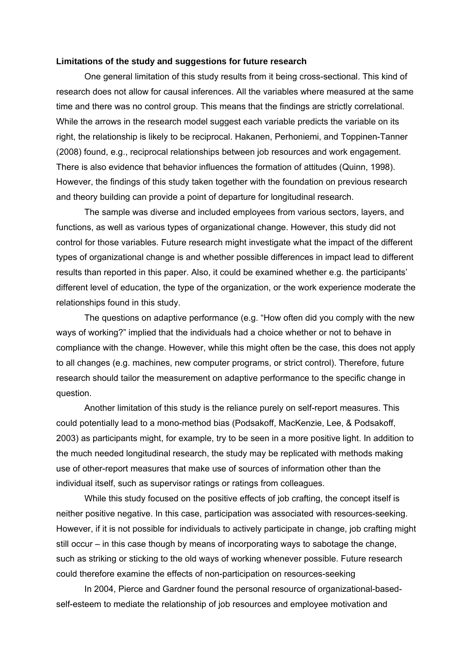#### **Limitations of the study and suggestions for future research**

One general limitation of this study results from it being cross-sectional. This kind of research does not allow for causal inferences. All the variables where measured at the same time and there was no control group. This means that the findings are strictly correlational. While the arrows in the research model suggest each variable predicts the variable on its right, the relationship is likely to be reciprocal. Hakanen, Perhoniemi, and Toppinen-Tanner (2008) found, e.g., reciprocal relationships between job resources and work engagement. There is also evidence that behavior influences the formation of attitudes (Quinn, 1998). However, the findings of this study taken together with the foundation on previous research and theory building can provide a point of departure for longitudinal research.

The sample was diverse and included employees from various sectors, layers, and functions, as well as various types of organizational change. However, this study did not control for those variables. Future research might investigate what the impact of the different types of organizational change is and whether possible differences in impact lead to different results than reported in this paper. Also, it could be examined whether e.g. the participants' different level of education, the type of the organization, or the work experience moderate the relationships found in this study.

The questions on adaptive performance (e.g. "How often did you comply with the new ways of working?" implied that the individuals had a choice whether or not to behave in compliance with the change. However, while this might often be the case, this does not apply to all changes (e.g. machines, new computer programs, or strict control). Therefore, future research should tailor the measurement on adaptive performance to the specific change in question.

Another limitation of this study is the reliance purely on self-report measures. This could potentially lead to a mono-method bias (Podsakoff, MacKenzie, Lee, & Podsakoff, 2003) as participants might, for example, try to be seen in a more positive light. In addition to the much needed longitudinal research, the study may be replicated with methods making use of other-report measures that make use of sources of information other than the individual itself, such as supervisor ratings or ratings from colleagues.

While this study focused on the positive effects of job crafting, the concept itself is neither positive negative. In this case, participation was associated with resources-seeking. However, if it is not possible for individuals to actively participate in change, job crafting might still occur – in this case though by means of incorporating ways to sabotage the change, such as striking or sticking to the old ways of working whenever possible. Future research could therefore examine the effects of non-participation on resources-seeking

In 2004, Pierce and Gardner found the personal resource of organizational-basedself-esteem to mediate the relationship of job resources and employee motivation and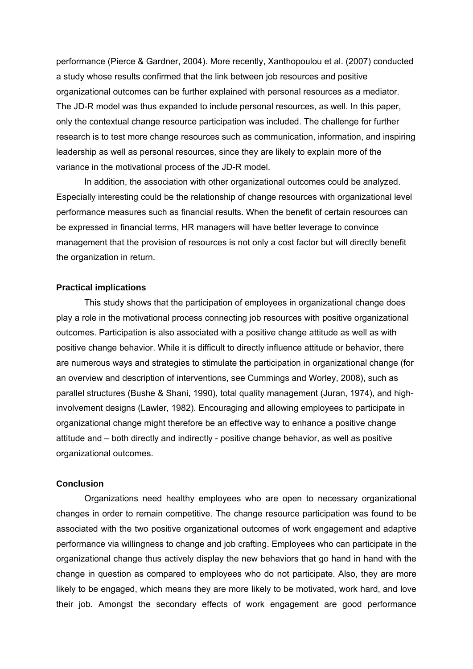performance (Pierce & Gardner, 2004). More recently, Xanthopoulou et al. (2007) conducted a study whose results confirmed that the link between job resources and positive organizational outcomes can be further explained with personal resources as a mediator. The JD-R model was thus expanded to include personal resources, as well. In this paper, only the contextual change resource participation was included. The challenge for further research is to test more change resources such as communication, information, and inspiring leadership as well as personal resources, since they are likely to explain more of the variance in the motivational process of the JD-R model.

In addition, the association with other organizational outcomes could be analyzed. Especially interesting could be the relationship of change resources with organizational level performance measures such as financial results. When the benefit of certain resources can be expressed in financial terms, HR managers will have better leverage to convince management that the provision of resources is not only a cost factor but will directly benefit the organization in return.

#### **Practical implications**

This study shows that the participation of employees in organizational change does play a role in the motivational process connecting job resources with positive organizational outcomes. Participation is also associated with a positive change attitude as well as with positive change behavior. While it is difficult to directly influence attitude or behavior, there are numerous ways and strategies to stimulate the participation in organizational change (for an overview and description of interventions, see Cummings and Worley, 2008), such as parallel structures (Bushe & Shani, 1990), total quality management (Juran, 1974), and highinvolvement designs (Lawler, 1982). Encouraging and allowing employees to participate in organizational change might therefore be an effective way to enhance a positive change attitude and – both directly and indirectly - positive change behavior, as well as positive organizational outcomes.

## **Conclusion**

 Organizations need healthy employees who are open to necessary organizational changes in order to remain competitive. The change resource participation was found to be associated with the two positive organizational outcomes of work engagement and adaptive performance via willingness to change and job crafting. Employees who can participate in the organizational change thus actively display the new behaviors that go hand in hand with the change in question as compared to employees who do not participate. Also, they are more likely to be engaged, which means they are more likely to be motivated, work hard, and love their job. Amongst the secondary effects of work engagement are good performance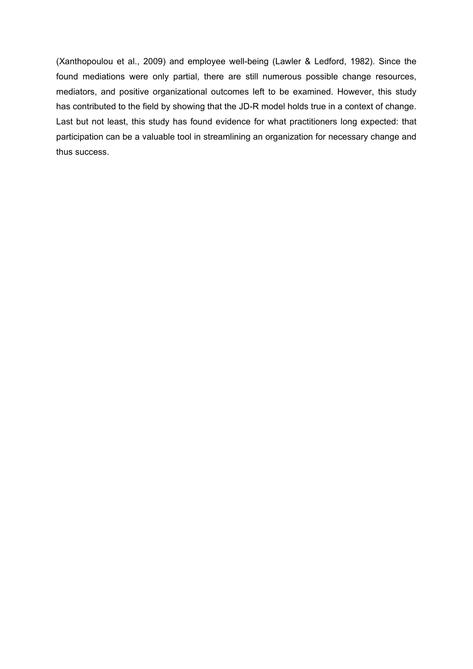(Xanthopoulou et al., 2009) and employee well-being (Lawler & Ledford, 1982). Since the found mediations were only partial, there are still numerous possible change resources, mediators, and positive organizational outcomes left to be examined. However, this study has contributed to the field by showing that the JD-R model holds true in a context of change. Last but not least, this study has found evidence for what practitioners long expected: that participation can be a valuable tool in streamlining an organization for necessary change and thus success.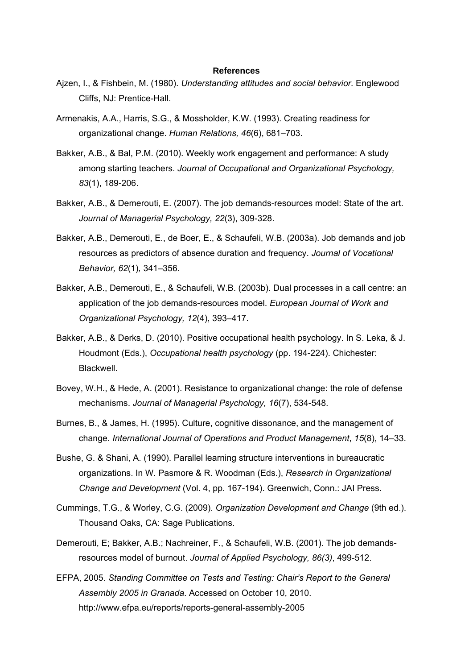#### **References**

- Ajzen, I., & Fishbein, M. (1980). *Understanding attitudes and social behavior.* Englewood Cliffs, NJ: Prentice-Hall.
- Armenakis, A.A., Harris, S.G., & Mossholder, K.W. (1993). Creating readiness for organizational change. *Human Relations, 46*(6), 681–703.
- Bakker, A.B., & Bal, P.M. (2010). Weekly work engagement and performance: A study among starting teachers. *Journal of Occupational and Organizational Psychology, 83*(1), 189-206.
- Bakker, A.B., & Demerouti, E. (2007). The job demands-resources model: State of the art. *Journal of Managerial Psychology, 22*(3), 309-328.
- Bakker, A.B., Demerouti, E., de Boer, E., & Schaufeli, W.B. (2003a). Job demands and job resources as predictors of absence duration and frequency. *Journal of Vocational Behavior, 62*(1)*,* 341–356.
- Bakker, A.B., Demerouti, E., & Schaufeli, W.B. (2003b). Dual processes in a call centre: an application of the job demands-resources model. *European Journal of Work and Organizational Psychology, 12*(4), 393–417.
- Bakker, A.B., & Derks, D. (2010). Positive occupational health psychology. In S. Leka, & J. Houdmont (Eds.), *Occupational health psychology* (pp. 194-224). Chichester: Blackwell.
- Bovey, W.H., & Hede, A. (2001). Resistance to organizational change: the role of defense mechanisms. *Journal of Managerial Psychology, 16*(7), 534-548.
- Burnes, B., & James, H. (1995). Culture, cognitive dissonance, and the management of change. *International Journal of Operations and Product Management*, *15*(8), 14–33.
- Bushe, G. & Shani, A. (1990). Parallel learning structure interventions in bureaucratic organizations. In W. Pasmore & R. Woodman (Eds.), *Research in Organizational Change and Development* (Vol. 4, pp. 167-194). Greenwich, Conn.: JAI Press.
- Cummings, T.G., & Worley, C.G. (2009). *Organization Development and Change* (9th ed.). Thousand Oaks, CA: Sage Publications.
- Demerouti, E; Bakker, A.B.; Nachreiner, F., & Schaufeli, W.B. (2001). The job demandsresources model of burnout. *Journal of Applied Psychology, 86(3)*, 499-512.
- EFPA, 2005. *Standing Committee on Tests and Testing: Chair's Report to the General Assembly 2005 in Granada*. Accessed on October 10, 2010. http://www.efpa.eu/reports/reports-general-assembly-2005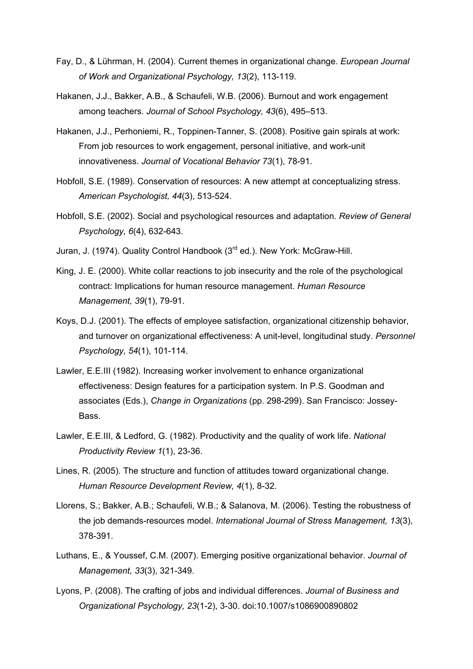- Fay, D., & Lührman, H. (2004). Current themes in organizational change. *European Journal of Work and Organizational Psychology, 13*(2), 113-119.
- Hakanen, J.J., Bakker, A.B., & Schaufeli, W.B. (2006). Burnout and work engagement among teachers. *Journal of School Psychology, 43*(6), 495–513.
- Hakanen, J.J., Perhoniemi, R., Toppinen-Tanner, S. (2008). Positive gain spirals at work: From job resources to work engagement, personal initiative, and work-unit innovativeness. *Journal of Vocational Behavior 73*(1), 78-91.
- Hobfoll, S.E. (1989). Conservation of resources: A new attempt at conceptualizing stress. *American Psychologist, 44*(3), 513-524.
- Hobfoll, S.E. (2002). Social and psychological resources and adaptation. *Review of General Psychology, 6*(4), 632-643.
- Juran, J. (1974). Quality Control Handbook (3<sup>rd</sup> ed.). New York: McGraw-Hill.
- King, J. E. (2000). White collar reactions to job insecurity and the role of the psychological contract: Implications for human resource management. *Human Resource Management, 39*(1), 79-91.
- Koys, D.J. (2001). The effects of employee satisfaction, organizational citizenship behavior, and turnover on organizational effectiveness: A unit-level, longitudinal study. *Personnel Psychology, 54*(1), 101-114.
- Lawler, E.E.III (1982). Increasing worker involvement to enhance organizational effectiveness: Design features for a participation system. In P.S. Goodman and associates (Eds.), *Change in Organizations* (pp. 298-299). San Francisco: Jossey-Bass.
- Lawler, E.E.III, & Ledford, G. (1982). Productivity and the quality of work life. *National Productivity Review 1*(1), 23-36.
- Lines, R. (2005). The structure and function of attitudes toward organizational change. *Human Resource Development Review, 4*(1), 8-32.
- Llorens, S.; Bakker, A.B.; Schaufeli, W.B.; & Salanova, M. (2006). Testing the robustness of the job demands-resources model. *International Journal of Stress Management, 13*(3), 378-391.
- Luthans, E., & Youssef, C.M. (2007). Emerging positive organizational behavior. *Journal of Management, 33*(3), 321-349.
- Lyons, P. (2008). The crafting of jobs and individual differences. *Journal of Business and Organizational Psychology, 23*(1-2), 3-30. doi:10.1007/s1086900890802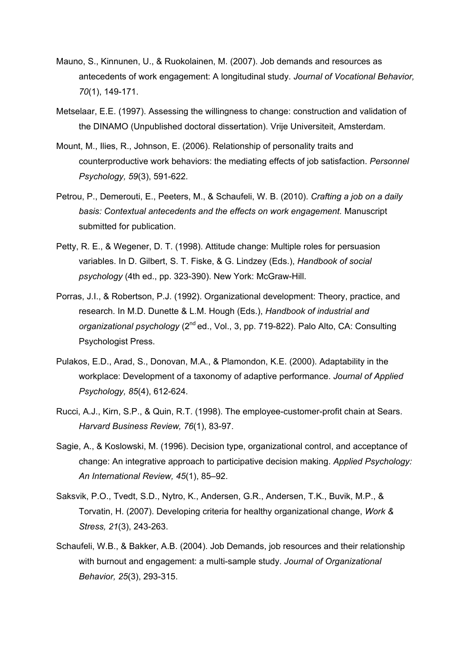- Mauno, S., Kinnunen, U., & Ruokolainen, M. (2007). Job demands and resources as antecedents of work engagement: A longitudinal study. *Journal of Vocational Behavior, 70*(1), 149-171.
- Metselaar, E.E. (1997). Assessing the willingness to change: construction and validation of the DINAMO (Unpublished doctoral dissertation). Vrije Universiteit, Amsterdam.
- Mount, M., Ilies, R., Johnson, E. (2006). Relationship of personality traits and counterproductive work behaviors: the mediating effects of job satisfaction. *Personnel Psychology, 59*(3), 591-622.
- Petrou, P., Demerouti, E., Peeters, M., & Schaufeli, W. B. (2010). *Crafting a job on a daily basis: Contextual antecedents and the effects on work engagement.* Manuscript submitted for publication.
- Petty, R. E., & Wegener, D. T. (1998). Attitude change: Multiple roles for persuasion variables. In D. Gilbert, S. T. Fiske, & G. Lindzey (Eds.), *Handbook of social psychology* (4th ed., pp. 323-390). New York: McGraw-Hill.
- Porras, J.I., & Robertson, P.J. (1992). Organizational development: Theory, practice, and research. In M.D. Dunette & L.M. Hough (Eds.), *Handbook of industrial and organizational psychology* (2<sup>nd</sup> ed., Vol., 3, pp. 719-822). Palo Alto, CA: Consulting Psychologist Press.
- Pulakos, E.D., Arad, S., Donovan, M.A., & Plamondon, K.E. (2000). Adaptability in the workplace: Development of a taxonomy of adaptive performance. *Journal of Applied Psychology, 85*(4), 612-624.
- Rucci, A.J., Kirn, S.P., & Quin, R.T. (1998). The employee-customer-profit chain at Sears. *Harvard Business Review, 76*(1), 83-97.
- Sagie, A., & Koslowski, M. (1996). Decision type, organizational control, and acceptance of change: An integrative approach to participative decision making. *Applied Psychology: An International Review, 45*(1), 85–92.
- Saksvik, P.O., Tvedt, S.D., Nytro, K., Andersen, G.R., Andersen, T.K., Buvik, M.P., & Torvatin, H. (2007). Developing criteria for healthy organizational change, *Work & Stress, 21*(3), 243-263.
- Schaufeli, W.B., & Bakker, A.B. (2004). Job Demands, job resources and their relationship with burnout and engagement: a multi-sample study. *Journal of Organizational Behavior, 25*(3), 293-315.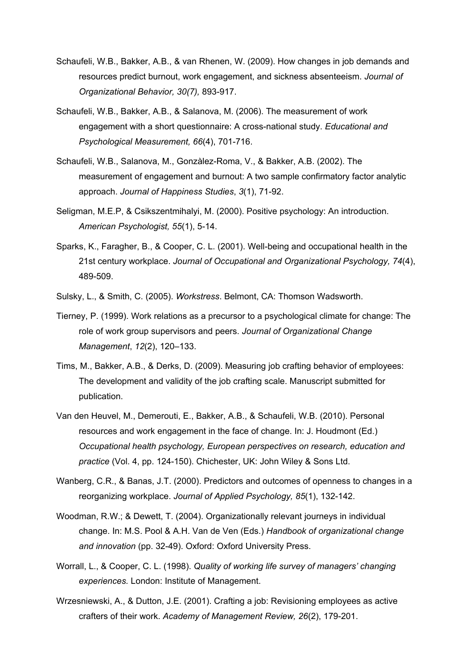- Schaufeli, W.B., Bakker, A.B., & van Rhenen, W. (2009). How changes in job demands and resources predict burnout, work engagement, and sickness absenteeism. *Journal of Organizational Behavior, 30(7),* 893-917.
- Schaufeli, W.B., Bakker, A.B., & Salanova, M. (2006). The measurement of work engagement with a short questionnaire: A cross-national study. *Educational and Psychological Measurement, 66*(4), 701-716.
- Schaufeli, W.B., Salanova, M., Gonzàlez-Roma, V., & Bakker, A.B. (2002). The measurement of engagement and burnout: A two sample confirmatory factor analytic approach. *Journal of Happiness Studies*, *3*(1), 71-92.
- Seligman, M.E.P, & Csikszentmihalyi, M. (2000). Positive psychology: An introduction. *American Psychologist, 55*(1), 5-14.
- Sparks, K., Faragher, B., & Cooper, C. L. (2001). Well-being and occupational health in the 21st century workplace. *Journal of Occupational and Organizational Psychology, 74*(4), 489-509.
- Sulsky, L., & Smith, C. (2005). *Workstress*. Belmont, CA: Thomson Wadsworth.
- Tierney, P. (1999). Work relations as a precursor to a psychological climate for change: The role of work group supervisors and peers. *Journal of Organizational Change Management*, *12*(2), 120–133.
- Tims, M., Bakker, A.B., & Derks, D. (2009). Measuring job crafting behavior of employees: The development and validity of the job crafting scale. Manuscript submitted for publication.
- Van den Heuvel, M., Demerouti, E., Bakker, A.B., & Schaufeli, W.B. (2010). Personal resources and work engagement in the face of change. In: J. Houdmont (Ed.) *Occupational health psychology, European perspectives on research, education and practice* (Vol. 4, pp. 124-150). Chichester, UK: John Wiley & Sons Ltd.
- Wanberg, C.R., & Banas, J.T. (2000). Predictors and outcomes of openness to changes in a reorganizing workplace. *Journal of Applied Psychology, 85*(1), 132-142.
- Woodman, R.W.; & Dewett, T. (2004). Organizationally relevant journeys in individual change. In: M.S. Pool & A.H. Van de Ven (Eds.) *Handbook of organizational change and innovation* (pp. 32-49). Oxford: Oxford University Press.
- Worrall, L., & Cooper, C. L. (1998). *Quality of working life survey of managers' changing experiences.* London: Institute of Management.
- Wrzesniewski, A., & Dutton, J.E. (2001). Crafting a job: Revisioning employees as active crafters of their work. *Academy of Management Review, 26*(2), 179-201.